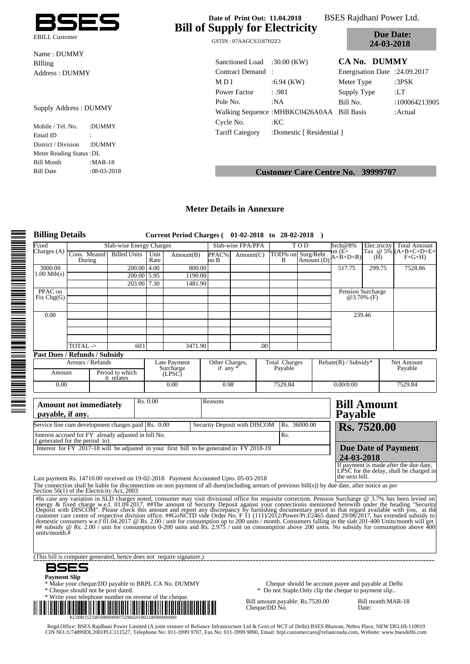

Name : DUMMY BIlling Address : DUMMY

#### Supply Address : DUMMY

Mobile / Tel. No. :DUMMY Email ID : District / Division :DUMMY Meter Reading Status :DL Bill Month :MAR-18 Bill Date :08-03-2018

# **Bill of Supply for Electricity**

EBILL Customer<br>GSTIN : 07AAGCS3187H2Z3

**BSES Rajdhani Power Ltd.** 

**Due Date: 24-03-2018**

| Sanctioned Load :30.00 (KW) |                                            | CA No. DUMMY                  |               |
|-----------------------------|--------------------------------------------|-------------------------------|---------------|
| Contract Demand:            |                                            | Energisation Date: 24.09.2017 |               |
| M D I                       | $:6.94$ (KW)                               | Meter Type                    | :3 $PSK$      |
| Power Factor                | :.981                                      | Supply Type                   | :LT           |
| Pole No.                    | :NA                                        |                               | :100064213905 |
|                             | Walking Sequence: MHBKC0426A0AA Bill Basis |                               | : Actual      |
| Cycle No.                   | :KC                                        |                               |               |
| <b>Tariff Category</b>      | :Domestic [ Residential ]                  |                               |               |

## **Customer Care Centre No. 39999707**

#### **Meter Details in Annexure**

| <b>Billing Details</b>      |                                                                                                                                                                                                                                            |                               |              | Current Period Charges (01-02-2018 to 28-02-2018)                                                                                                       |                              |                              |     |                                              |                                                                                                              |                        |                                               |                                        |
|-----------------------------|--------------------------------------------------------------------------------------------------------------------------------------------------------------------------------------------------------------------------------------------|-------------------------------|--------------|---------------------------------------------------------------------------------------------------------------------------------------------------------|------------------------------|------------------------------|-----|----------------------------------------------|--------------------------------------------------------------------------------------------------------------|------------------------|-----------------------------------------------|----------------------------------------|
| Fixed<br>Charges (A)        |                                                                                                                                                                                                                                            | Slab-wise Energy Charges      |              |                                                                                                                                                         | Slab-wise FPA/PPA            |                              |     | TOD                                          | Srch@8%<br>$\mathop{\rm on}\nolimits$ (E=                                                                    | Elec.tricity           | <b>Total Amount</b><br>Tax $@5\%$ (A+B+C+D+E+ |                                        |
|                             | Cons. Measrd<br>During                                                                                                                                                                                                                     | <b>Billed Units</b>           | Unit<br>Rate | Amount(B)                                                                                                                                               | PPAC%<br>on B                | Amount(C)                    |     | B                                            | TOD% on Surg/Rebt<br>Amount (D)                                                                              | $A+B+D+R$              | (H)                                           | $F+G+H$                                |
| 3000.00<br>$1.00$ Mth $(s)$ |                                                                                                                                                                                                                                            | 200.00                        | 4.00         | 800.00                                                                                                                                                  |                              |                              |     |                                              |                                                                                                              | 517.75                 | 299.75                                        | 7528.86                                |
|                             |                                                                                                                                                                                                                                            | 200.00 5.95<br>203.00 7.30    |              | 1190.00<br>1481.90                                                                                                                                      |                              |                              |     |                                              |                                                                                                              |                        |                                               |                                        |
| PPAC on                     |                                                                                                                                                                                                                                            |                               |              |                                                                                                                                                         |                              |                              |     |                                              |                                                                                                              |                        | Pension Surcharge                             |                                        |
| Fix Chg(G)                  |                                                                                                                                                                                                                                            |                               |              |                                                                                                                                                         |                              |                              |     |                                              |                                                                                                              |                        | @3.70% (F)                                    |                                        |
| 0.00                        |                                                                                                                                                                                                                                            |                               |              |                                                                                                                                                         |                              |                              |     |                                              |                                                                                                              |                        | 239.46                                        |                                        |
|                             |                                                                                                                                                                                                                                            |                               |              |                                                                                                                                                         |                              |                              |     |                                              |                                                                                                              |                        |                                               |                                        |
|                             |                                                                                                                                                                                                                                            |                               |              |                                                                                                                                                         |                              |                              |     |                                              |                                                                                                              |                        |                                               |                                        |
|                             | TOTAL ->                                                                                                                                                                                                                                   | 603                           |              | 3471.90                                                                                                                                                 |                              |                              | .00 |                                              |                                                                                                              |                        |                                               |                                        |
|                             | <b>Past Dues / Refunds / Subsidy</b>                                                                                                                                                                                                       |                               |              |                                                                                                                                                         |                              |                              |     |                                              |                                                                                                              |                        |                                               |                                        |
|                             | Arrears / Refunds                                                                                                                                                                                                                          |                               |              | Late Payment<br>Surcharge                                                                                                                               | Other Charges,<br>if any $*$ |                              |     | <b>Total Charges</b><br>Payable <sup>7</sup> |                                                                                                              | $Rebate(R) / Subsidy*$ |                                               | Net Amount<br>Payable                  |
| Amount                      |                                                                                                                                                                                                                                            | Period to which<br>it relates | (LPSC)       |                                                                                                                                                         |                              |                              |     |                                              |                                                                                                              |                        |                                               |                                        |
| 0.00                        |                                                                                                                                                                                                                                            |                               |              | 0.00                                                                                                                                                    | 0.98                         |                              |     | 7529.84                                      |                                                                                                              | 0.00/0.00              |                                               | 7529.84                                |
| payable, if any.            | Service line cum development charges paid Rs. 0.00<br>Interest accrued for FY already adjusted in bill No.<br>generated for the period to).<br>Interest for FY 2017-18 will be adjusted in your first bill to be generated in FY 2018-19   |                               |              |                                                                                                                                                         |                              | Security Deposit with DISCOM |     | Rs.                                          | Rs. 36000.00                                                                                                 | Payable                | Rs. 7520.00<br><b>Due Date of Payment</b>     |                                        |
|                             |                                                                                                                                                                                                                                            |                               |              |                                                                                                                                                         |                              |                              |     |                                              |                                                                                                              | 24-03-2018             |                                               | If payment is made after the due date, |
|                             | Last payment Rs. 14710.00 received on 19-02-2018 Payment Accounted Upto. 05-03-2018<br>The connection shall be liable for disconnection on non payment of all dues(including arrears of previous bill(s)) by due date, after notice as per |                               |              |                                                                                                                                                         |                              |                              |     |                                              |                                                                                                              | the next bill.         | $LPSC$ for the delay, shall be charged in     |                                        |
|                             | Section 56(1) of the Electricity Act, 2003.                                                                                                                                                                                                |                               |              |                                                                                                                                                         |                              |                              |     |                                              |                                                                                                              |                        |                                               |                                        |
| units/month. $#$            | Fin case any variation in SLD charges noted, consumer may visit divisional office for requisite correction. Pension Surcharge @ 3.7% has been levied on energy & fixed charge w.e.f. 01.09.2017. ##The amount of Security Dep              |                               |              |                                                                                                                                                         |                              |                              |     |                                              |                                                                                                              |                        |                                               |                                        |
|                             | (This bill is computer generated, hence does not require signature.)<br>BSES                                                                                                                                                               |                               |              |                                                                                                                                                         |                              |                              |     |                                              |                                                                                                              |                        |                                               |                                        |
| <b>Payment Slip</b>         | * Make your cheque/DD payable to BRPL CA No. DUMMY<br>* Cheque should not be post dated.                                                                                                                                                   |                               |              |                                                                                                                                                         |                              |                              |     |                                              | Cheque should be account payee and payable at Delhi<br>* Do not Staple. Only clip the cheque to payment slip |                        |                                               |                                        |
|                             | * Write your telephone number on reverse of the cheque.<br>* Write your telephone number on reverse of the cheque.<br>KC00R152338598000000752984201803240000000000                                                                         |                               |              |                                                                                                                                                         |                              |                              |     | Cheque/DD No.                                | Bill amount payable: Rs.7520.00                                                                              |                        | Bill month: MAR-18<br>Date:                   |                                        |
|                             | Regd.Office: BSES Rajdhani Power Limited (A joint venture of Reliance Infrastructure Ltd & Govt.of NCT of Delhi) BSES Bhawan, Nehru Place, NEW DELHI-110019                                                                                |                               |              | CIN NO.:U74899DL2001PLC111527, Telephone No: 011-3999 9707, Fax No: 011-3999 9890, Email: brpl.customercare@relianceada.com, Website: www.bsesdelhi.com |                              |                              |     |                                              |                                                                                                              |                        |                                               |                                        |